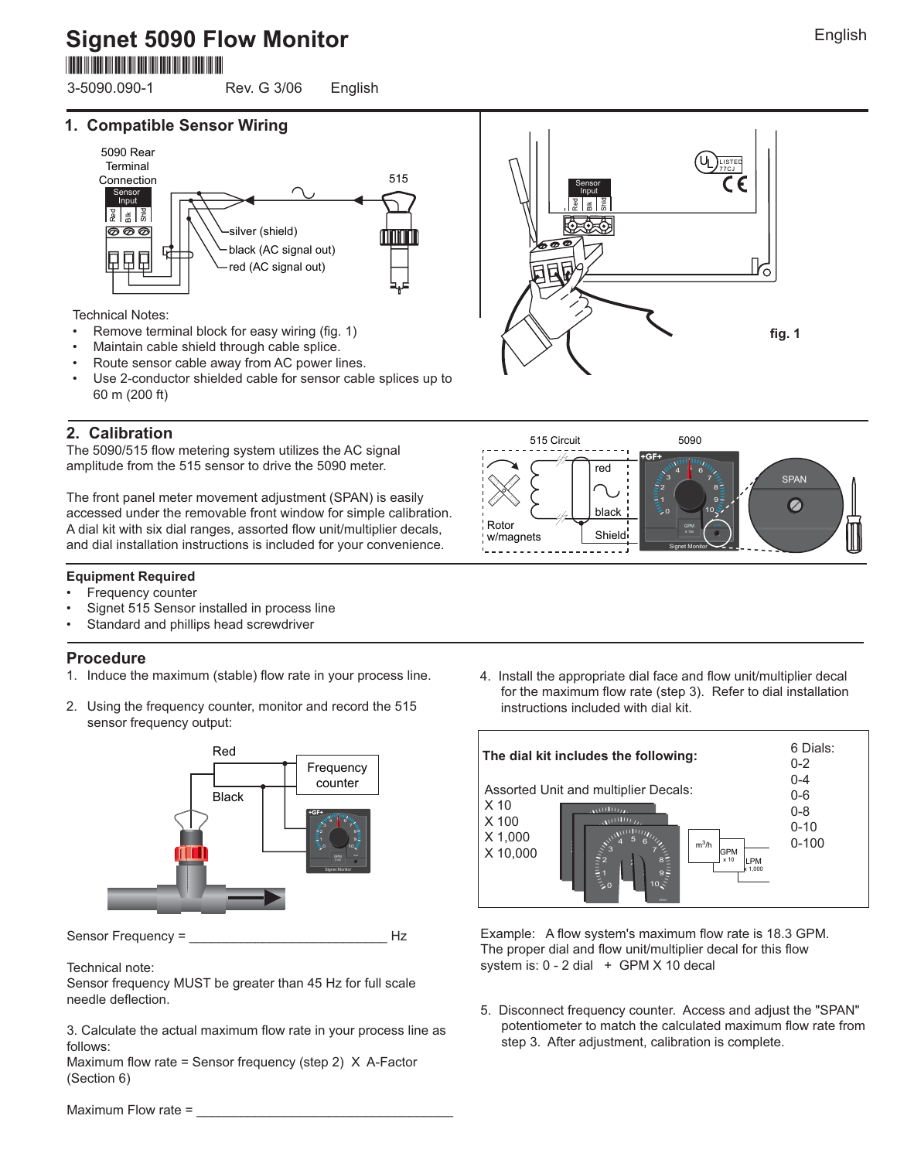# **Signet 5090 Flow Monitor** \*3-5090.090-1\*

3-5090.090-1 Rev. G 3/06 English

#### **1. Compatible Sensor Wiring**



Technical Notes:

- Remove terminal block for easy wiring (fig. 1)
- Maintain cable shield through cable splice.
- Route sensor cable away from AC power lines.
- Use 2-conductor shielded cable for sensor cable splices up to 60 m (200 ft)

### **2. Calibration**

The 5090/515 flow metering system utilizes the AC signal amplitude from the 515 sensor to drive the 5090 meter.

The front panel meter movement adjustment (SPAN) is easily accessed under the removable front window for simple calibration. A dial kit with six dial ranges, assorted flow unit/multiplier decals, and dial installation instructions is included for your convenience.

#### **Equipment Required**

- Frequency counter
- Signet 515 Sensor installed in process line
- Standard and phillips head screwdriver

#### **Procedure**

- 1. Induce the maximum (stable) flow rate in your process line.
- 2. Using the frequency counter, monitor and record the 515 sensor frequency output:



Sensor Frequency = \_\_\_\_\_\_\_\_\_\_\_\_\_\_\_\_\_\_\_\_\_\_\_\_\_\_\_ Hz

Technical note:

Sensor frequency MUST be greater than 45 Hz for full scale needle deflection.

3. Calculate the actual maximum flow rate in your process line as follows:

Maximum flow rate = Sensor frequency (step 2)  $X$  A-Factor (Section 6)

4. Install the appropriate dial face and flow unit/multiplier decal for the maximum flow rate (step 3). Refer to dial installation instructions included with dial kit.



Example: A flow system's maximum flow rate is 18.3 GPM. The proper dial and flow unit/multiplier decal for this flow system is:  $0 - 2$  dial  $+$  GPM X 10 decal

5. Disconnect frequency counter. Access and adjust the "SPAN" potentiometer to match the calculated maximum flow rate from step 3. After adjustment, calibration is complete.



5090

X 100 GPM 10

Signet Monitor

8 6 7  $\frac{1}{4}$ 

SPAN

Ø

9

0 2 3



English

Maximum Flow rate =



black

Shield

red

515 Circuit

Rotor w/magnets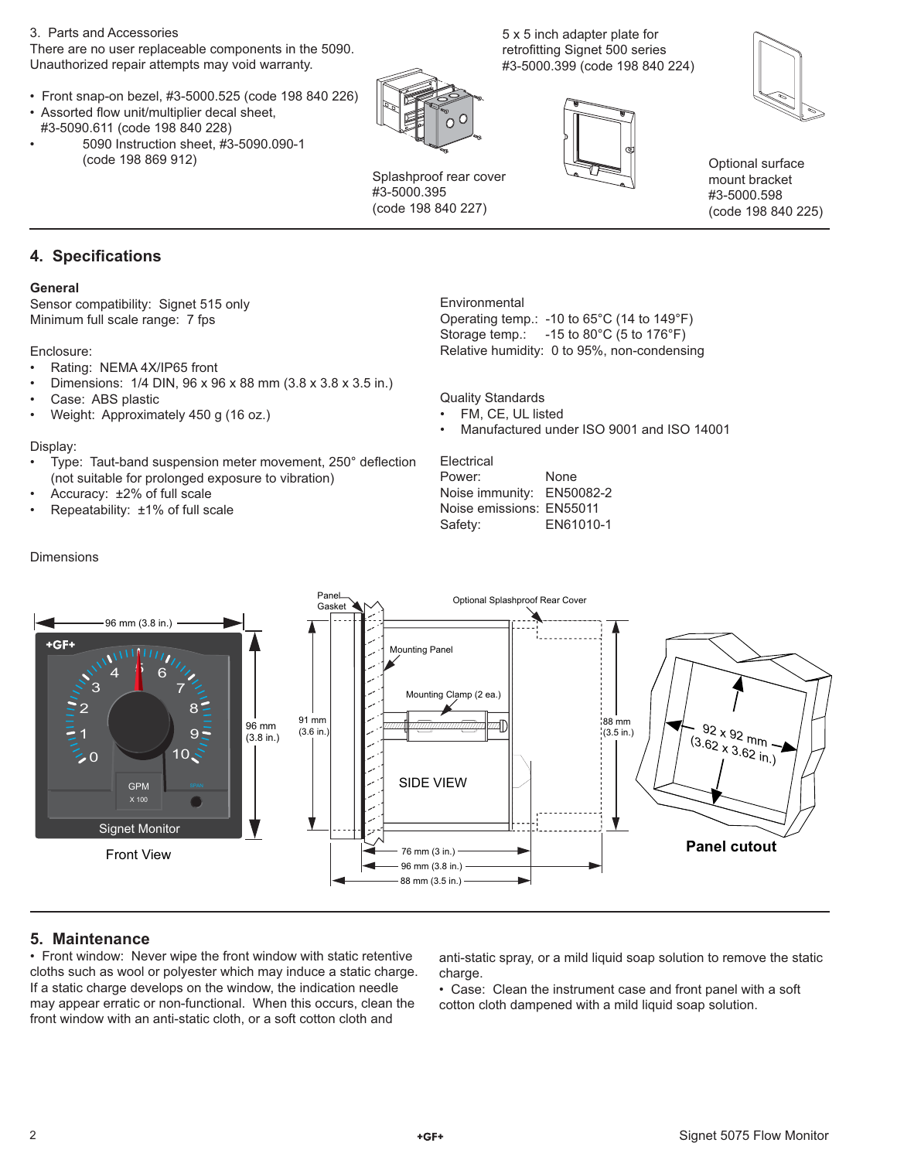#### 3. Parts and Accessories

There are no user replaceable components in the 5090. Unauthorized repair attempts may void warranty.

- Front snap-on bezel, #3-5000.525 (code 198 840 226)
- Assorted flow unit/multiplier decal sheet, #3-5090.611 (code 198 840 228)
- 5090 Instruction sheet, #3-5090.090-1 (code 198 869 912)



Splashproof rear cover #3-5000.395 (code 198 840 227)

**Environmental** 

5 x 5 inch adapter plate for retrofitting Signet 500 series #3-5000.399 (code 198 840 224)





Optional surface mount bracket #3-5000.598 (code 198 840 225)

#### **4. Specifications**

#### **General**

Sensor compatibility: Signet 515 only Minimum full scale range: 7 fps

#### Enclosure:

- Rating: NEMA 4X/IP65 front
- Dimensions: 1/4 DIN, 96 x 96 x 88 mm (3.8 x 3.8 x 3.5 in.)
- Case: ABS plastic
- Weight: Approximately 450 g (16 oz.)

#### Display:

- Type: Taut-band suspension meter movement, 250° deflection (not suitable for prolonged exposure to vibration)
- Accuracy: ±2% of full scale
- Repeatability: ±1% of full scale

Quality Standards FM, CE, UL listed

• Manufactured under ISO 9001 and ISO 14001

Operating temp.: -10 to 65°C (14 to 149°F) Storage temp.: -15 to 80°C (5 to 176°F) Relative humidity: 0 to 95%, non-condensing

**Electrical** Power: None Noise immunity: EN50082-2 Noise emissions: EN55011 Safety: EN61010-1



#### **5. Maintenance**

• Front window: Never wipe the front window with static retentive cloths such as wool or polyester which may induce a static charge. If a static charge develops on the window, the indication needle may appear erratic or non-functional. When this occurs, clean the front window with an anti-static cloth, or a soft cotton cloth and

anti-static spray, or a mild liquid soap solution to remove the static charge.

• Case: Clean the instrument case and front panel with a soft cotton cloth dampened with a mild liquid soap solution.

Dimensions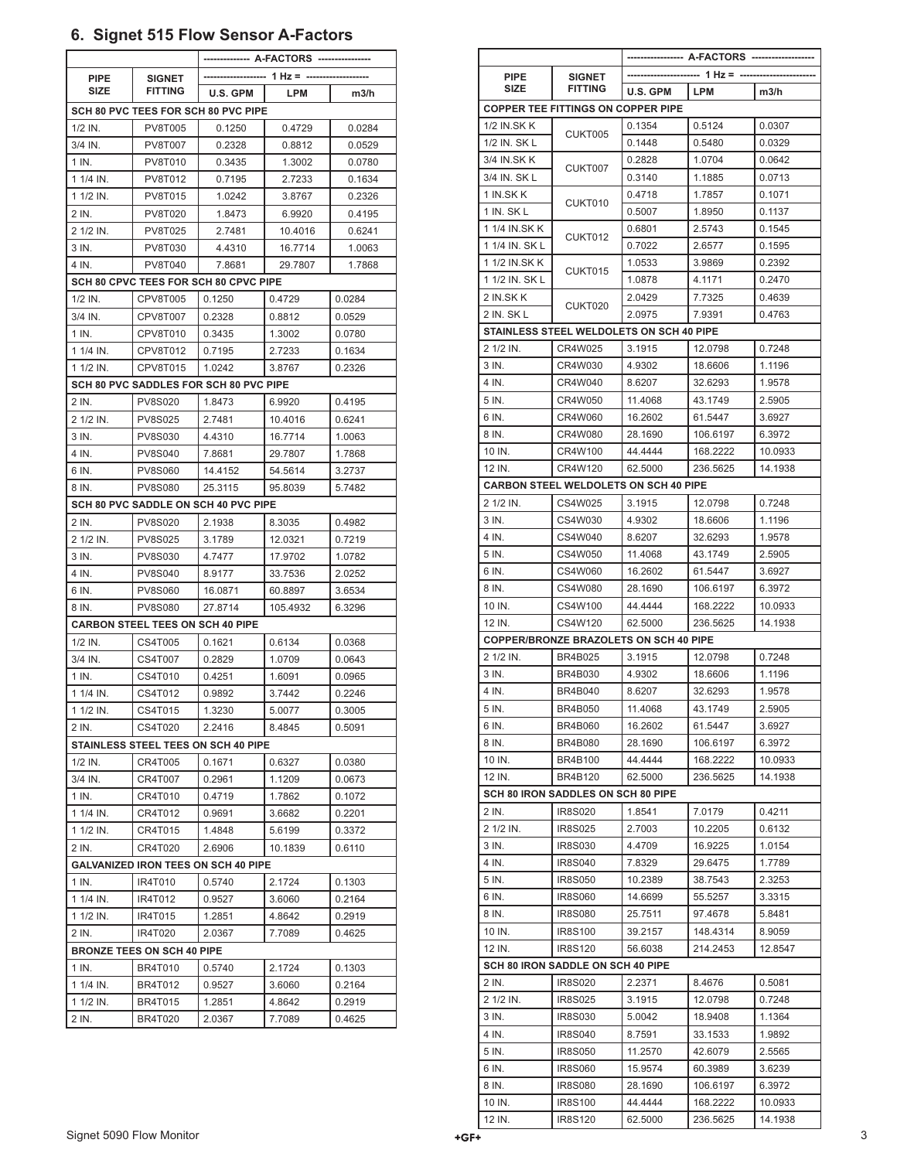# **6. Signet 515 Flow Sensor A-Factors**

| <b>PIPE</b>                                | <b>SIGNET</b><br><b>FITTING</b>         | --- 1 Hz = -     |                  |                  |  |  |  |  |  |
|--------------------------------------------|-----------------------------------------|------------------|------------------|------------------|--|--|--|--|--|
| SIZE                                       |                                         | U.S. GPM         | LPM              | m3/h             |  |  |  |  |  |
| SCH 80 PVC TEES FOR SCH 80 PVC PIPE        |                                         |                  |                  |                  |  |  |  |  |  |
| $1/2$ IN.                                  | <b>PV8T005</b>                          | 0.1250           | 0.4729           | 0.0284           |  |  |  |  |  |
| 3/4 IN.                                    | PV8T007                                 | 0.2328           | 0.8812           | 0.0529           |  |  |  |  |  |
| 1 IN.                                      | PV8T010                                 | 0.3435           | 1.3002           | 0.0780           |  |  |  |  |  |
| 1 1/4 IN.                                  | PV8T012                                 | 0.7195           | 2.7233           | 0.1634           |  |  |  |  |  |
| 1 1/2 IN.                                  | <b>PV8T015</b>                          | 1.0242           | 3.8767           | 0.2326           |  |  |  |  |  |
| 2 IN.                                      | <b>PV8T020</b>                          | 1.8473           | 6.9920           | 0.4195           |  |  |  |  |  |
| 2 1/2 IN.                                  | <b>PV8T025</b>                          | 2.7481           | 10.4016          | 0.6241           |  |  |  |  |  |
| 3 IN.                                      | PV8T030                                 | 4.4310           | 16.7714          | 1.0063           |  |  |  |  |  |
| 4 IN.                                      | PV8T040                                 | 7.8681           | 29.7807          | 1.7868           |  |  |  |  |  |
| SCH 80 CPVC TEES FOR SCH 80 CPVC PIPE      |                                         |                  |                  |                  |  |  |  |  |  |
| $1/2$ IN.                                  | CPV8T005                                | 0.1250           | 0.4729           | 0.0284           |  |  |  |  |  |
| 3/4 IN.                                    | CPV8T007                                | 0.2328           | 0.8812           | 0.0529           |  |  |  |  |  |
| 1 IN.                                      | CPV8T010                                | 0.3435           | 1.3002           | 0.0780           |  |  |  |  |  |
| 1 1/4 IN.                                  | CPV8T012                                | 0.7195           | 2.7233           | 0.1634           |  |  |  |  |  |
| 1 1/2 IN.                                  | CPV8T015                                | 1.0242           | 3.8767           | 0.2326           |  |  |  |  |  |
|                                            | SCH 80 PVC SADDLES FOR SCH 80 PVC PIPE  |                  |                  |                  |  |  |  |  |  |
| 2 IN.                                      | <b>PV8S020</b>                          | 1.8473           | 6.9920           | 0.4195           |  |  |  |  |  |
| 2 1/2 IN.                                  | <b>PV8S025</b>                          | 2.7481           | 10.4016          | 0.6241           |  |  |  |  |  |
| 3 IN.                                      | <b>PV8S030</b>                          | 4.4310           | 16.7714          | 1.0063           |  |  |  |  |  |
| 4 IN.                                      | <b>PV8S040</b>                          | 7.8681           | 29.7807          | 1.7868           |  |  |  |  |  |
| 6 IN.                                      | <b>PV8S060</b>                          | 14.4152          | 54.5614          | 3.2737           |  |  |  |  |  |
| 8 IN.                                      | <b>PV8S080</b>                          | 25.3115          | 95.8039          | 5.7482           |  |  |  |  |  |
|                                            | SCH 80 PVC SADDLE ON SCH 40 PVC PIPE    |                  |                  |                  |  |  |  |  |  |
| 2 IN.                                      | <b>PV8S020</b>                          | 2.1938           | 8.3035           | 0.4982           |  |  |  |  |  |
| 2 1/2 IN.                                  | <b>PV8S025</b>                          | 3.1789           | 12.0321          | 0.7219           |  |  |  |  |  |
| 3 IN.                                      | <b>PV8S030</b>                          | 4.7477           | 17.9702          | 1.0782           |  |  |  |  |  |
| 4 IN.                                      | <b>PV8S040</b>                          | 8.9177           | 33.7536          | 2.0252           |  |  |  |  |  |
| 6 IN.                                      | <b>PV8S060</b>                          | 16.0871          | 60.8897          | 3.6534           |  |  |  |  |  |
| 8 IN.                                      | <b>PV8S080</b>                          | 27.8714          | 105.4932         | 6.3296           |  |  |  |  |  |
|                                            | <b>CARBON STEEL TEES ON SCH 40 PIPE</b> |                  |                  |                  |  |  |  |  |  |
| $1/2$ IN.                                  | CS4T005                                 | 0.1621           | 0.6134           | 0.0368           |  |  |  |  |  |
| 3/4 IN.                                    | CS4T007                                 | 0.2829           | 1.0709           | 0.0643           |  |  |  |  |  |
| 1 IN.                                      | CS4T010                                 | 0.4251           | 1.6091           | 0.0965           |  |  |  |  |  |
| 1 1/4 IN.                                  | CS4T012                                 | 0.9892           | 3.7442           | 0.2246           |  |  |  |  |  |
| 1 1/2 IN.                                  | CS4T015                                 | 1.3230           | 5.0077           | 0.3005           |  |  |  |  |  |
| 2 IN.                                      | CS4T020                                 | 2.2416           | 8.4845           | 0.5091           |  |  |  |  |  |
| STAINLESS STEEL TEES ON SCH 40 PIPE        |                                         |                  |                  |                  |  |  |  |  |  |
| 1/2 IN.                                    | CR4T005                                 | 0.1671           | 0.6327           | 0.0380           |  |  |  |  |  |
| 3/4 IN.                                    | CR4T007                                 | 0.2961           | 1.1209           | 0.0673           |  |  |  |  |  |
| 1 IN.                                      | CR4T010                                 | 0.4719           | 1.7862           | 0.1072           |  |  |  |  |  |
| 1 1/4 IN.                                  | CR4T012                                 | 0.9691           | 3.6682           | 0.2201           |  |  |  |  |  |
| 1 1/2 IN.                                  | CR4T015                                 | 1.4848           | 5.6199           | 0.3372           |  |  |  |  |  |
| 2 IN.                                      | CR4T020                                 | 2.6906           | 10.1839          | 0.6110           |  |  |  |  |  |
| <b>GALVANIZED IRON TEES ON SCH 40 PIPE</b> |                                         |                  |                  |                  |  |  |  |  |  |
| 1 IN.<br>1 1/4 IN.                         | <b>IR4T010</b>                          | 0.5740           | 2.1724           | 0.1303           |  |  |  |  |  |
|                                            | IR4T012                                 | 0.9527           | 3.6060           | 0.2164           |  |  |  |  |  |
| 1 1/2 IN.<br>2 IN.                         | IR4T015                                 | 1.2851           | 4.8642           | 0.2919           |  |  |  |  |  |
|                                            | IR4T020                                 | 2.0367           | 7.7089           | 0.4625           |  |  |  |  |  |
|                                            | <b>BRONZE TEES ON SCH 40 PIPE</b>       |                  |                  |                  |  |  |  |  |  |
| 1 IN.<br>1 1/4 IN.                         | <b>BR4T010</b><br><b>BR4T012</b>        | 0.5740<br>0.9527 | 2.1724<br>3.6060 | 0.1303<br>0.2164 |  |  |  |  |  |
| 1 1/2 IN.                                  | <b>BR4T015</b>                          | 1.2851           | 4.8642           | 0.2919           |  |  |  |  |  |
| 2 IN.                                      | BR4T020                                 | 2.0367           | 7.7089           | 0.4625           |  |  |  |  |  |
|                                            |                                         |                  |                  |                  |  |  |  |  |  |

|                |                                               | --- 1 Hz = -- |            |         |  |
|----------------|-----------------------------------------------|---------------|------------|---------|--|
| <b>PIPE</b>    | <b>SIGNET</b>                                 |               |            |         |  |
| <b>SIZE</b>    | <b>FITTING</b>                                | U.S. GPM      | <b>LPM</b> | m3/h    |  |
|                | <b>COPPER TEE FITTINGS ON COPPER PIPE</b>     |               |            |         |  |
| 1/2 IN.SK K    |                                               | 0.1354        | 0.5124     | 0.0307  |  |
| 1/2 IN. SK L   | CUKT005                                       | 0.1448        | 0.5480     | 0.0329  |  |
| 3/4 IN.SK K    |                                               |               | 1.0704     | 0.0642  |  |
|                | CUKT007                                       | 0.2828        |            |         |  |
| 3/4 IN. SK L   |                                               | 0.3140        | 1.1885     | 0.0713  |  |
| 1 IN.SK K      | CUKT010                                       | 0.4718        | 1.7857     | 0.1071  |  |
| 1 IN. SK L     |                                               | 0.5007        | 1.8950     | 0.1137  |  |
| 1 1/4 IN.SK K  | CUKT012                                       | 0.6801        | 2.5743     | 0.1545  |  |
| 1 1/4 IN, SK L |                                               | 0.7022        | 2.6577     | 0.1595  |  |
| 1 1/2 IN.SK K  | CUKT015                                       | 1.0533        | 3.9869     | 0.2392  |  |
| 1 1/2 IN. SK L |                                               | 1.0878        | 4.1171     | 0.2470  |  |
| 2 IN.SK K      | CUKT020                                       | 2.0429        | 7.7325     | 0.4639  |  |
| 2 IN. SK L     |                                               | 2.0975        | 7.9391     | 0.4763  |  |
|                | STAINLESS STEEL WELDOLETS ON SCH 40 PIPE      |               |            |         |  |
| 2 1/2 IN.      | CR4W025                                       | 3.1915        | 12.0798    | 0.7248  |  |
| 3 IN.          | CR4W030                                       | 4.9302        | 18.6606    | 1.1196  |  |
| 4 IN.          | CR4W040                                       | 8.6207        | 32.6293    | 1.9578  |  |
| 5 IN.          | CR4W050                                       | 11.4068       | 43.1749    | 2.5905  |  |
| 6 IN.          | CR4W060                                       | 16.2602       | 61.5447    | 3.6927  |  |
| 8 IN.          | CR4W080                                       | 28.1690       | 106.6197   | 6.3972  |  |
| 10 IN.         | CR4W100                                       | 44.4444       | 168.2222   | 10.0933 |  |
| 12 IN.         | CR4W120                                       | 62.5000       | 236.5625   | 14.1938 |  |
|                | <b>CARBON STEEL WELDOLETS ON SCH 40 PIPE</b>  |               |            |         |  |
| 2 1/2 IN.      | CS4W025                                       | 3.1915        | 12.0798    | 0.7248  |  |
| 3 IN.          | CS4W030                                       | 4.9302        | 18.6606    | 1.1196  |  |
| 4 IN.          | CS4W040                                       | 8.6207        | 32.6293    | 1.9578  |  |
| 5 IN.          | CS4W050                                       | 11.4068       | 43.1749    | 2.5905  |  |
| 6 IN.          | CS4W060                                       | 16.2602       | 61.5447    | 3.6927  |  |
| 8 IN.          | CS4W080                                       | 28.1690       | 106.6197   | 6.3972  |  |
| 10 IN.         | CS4W100                                       | 44.4444       | 168.2222   | 10.0933 |  |
| 12 IN.         | CS4W120                                       | 62.5000       | 236.5625   | 14.1938 |  |
|                | <b>COPPER/BRONZE BRAZOLETS ON SCH 40 PIPE</b> |               |            |         |  |
| 2 1/2 IN.      | <b>BR4B025</b>                                | 3.1915        | 12.0798    | 0.7248  |  |
| 3 IN.          | <b>BR4B030</b>                                | 4.9302        | 18.6606    | 1.1196  |  |
| 4 IN.          |                                               |               |            |         |  |
|                | <b>BR4B040</b>                                | 8.6207        | 32.6293    | 1.9578  |  |
| 5 IN.          | <b>BR4B050</b>                                | 11.4068       | 43.1749    | 2.5905  |  |
| 6 IN.          | <b>BR4B060</b>                                | 16.2602       | 61.5447    | 3.6927  |  |
| 8 IN.          | <b>BR4B080</b>                                | 28.1690       | 106.6197   | 6.3972  |  |
| 10 IN.         | <b>BR4B100</b>                                | 44.4444       | 168.2222   | 10.0933 |  |
| 12 IN.         | <b>BR4B120</b>                                | 62.5000       | 236.5625   | 14.1938 |  |
|                | SCH 80 IRON SADDLES ON SCH 80 PIPE            |               |            |         |  |
| 2 IN.          | IR8S020                                       | 1.8541        | 7.0179     | 0.4211  |  |
| 2 1/2 IN.      | <b>IR8S025</b>                                | 2.7003        | 10.2205    | 0.6132  |  |
| 3 IN.          | IR8S030                                       | 4.4709        | 16.9225    | 1.0154  |  |
| 4 IN.          | <b>IR8S040</b>                                | 7.8329        | 29.6475    | 1.7789  |  |
| 5 IN.          | IR8S050                                       | 10.2389       | 38.7543    | 2.3253  |  |
| 6 IN.          | <b>IR8S060</b>                                | 14.6699       | 55.5257    | 3.3315  |  |
| 8 IN.          | <b>IR8S080</b>                                | 25.7511       | 97.4678    | 5.8481  |  |
| 10 IN.         | IR8S100                                       | 39.2157       | 148.4314   | 8.9059  |  |
| 12 IN.         | <b>IR8S120</b>                                | 56.6038       | 214.2453   | 12.8547 |  |
|                | SCH 80 IRON SADDLE ON SCH 40 PIPE             |               |            |         |  |
| 2 IN.          | <b>IR8S020</b>                                | 2.2371        | 8.4676     | 0.5081  |  |
| 2 1/2 IN.      | IR8S025                                       | 3.1915        | 12.0798    | 0.7248  |  |
| 3 IN.          | <b>IR8S030</b>                                | 5.0042        | 18.9408    | 1.1364  |  |
| 4 IN.          | <b>IR8S040</b>                                | 8.7591        | 33.1533    | 1.9892  |  |
| 5 IN.          | IR8S050                                       | 11.2570       | 42.6079    | 2.5565  |  |
| 6 IN.          | <b>IR8S060</b>                                | 15.9574       | 60.3989    | 3.6239  |  |
| 8 IN.          | <b>IR8S080</b>                                | 28.1690       | 106.6197   | 6.3972  |  |
| 10 IN.         | IR8S100                                       | 44.4444       | 168.2222   | 10.0933 |  |
| 12 IN.         | <b>IR8S120</b>                                | 62.5000       | 236.5625   | 14.1938 |  |
|                |                                               |               |            |         |  |